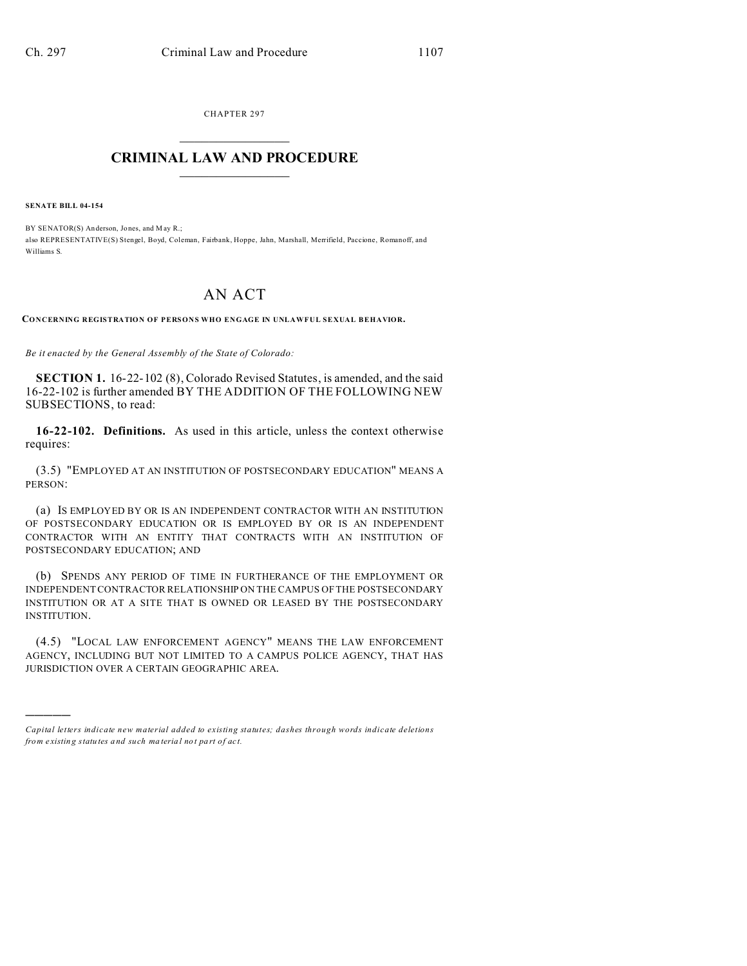CHAPTER 297  $\overline{\phantom{a}}$  , where  $\overline{\phantom{a}}$ 

## **CRIMINAL LAW AND PROCEDURE**  $\_$   $\_$   $\_$   $\_$   $\_$   $\_$   $\_$   $\_$   $\_$

**SENATE BILL 04-154**

)))))

BY SENATOR(S) Anderson, Jones, and May R.; also REPRESENTATIVE(S) Stengel, Boyd, Coleman, Fairbank, Hoppe, Jahn, Marshall, Merrifield, Paccione, Romanoff, and Williams S.

## AN ACT

**CONCERNING REGISTRATION OF PERSONS WHO ENGAGE IN UNLAWFUL SEXUAL BEHAVIOR.**

*Be it enacted by the General Assembly of the State of Colorado:*

**SECTION 1.** 16-22-102 (8), Colorado Revised Statutes, is amended, and the said 16-22-102 is further amended BY THE ADDITION OF THE FOLLOWING NEW SUBSECTIONS, to read:

**16-22-102. Definitions.** As used in this article, unless the context otherwise requires:

(3.5) "EMPLOYED AT AN INSTITUTION OF POSTSECONDARY EDUCATION" MEANS A PERSON:

(a) IS EMPLOYED BY OR IS AN INDEPENDENT CONTRACTOR WITH AN INSTITUTION OF POSTSECONDARY EDUCATION OR IS EMPLOYED BY OR IS AN INDEPENDENT CONTRACTOR WITH AN ENTITY THAT CONTRACTS WITH AN INSTITUTION OF POSTSECONDARY EDUCATION; AND

(b) SPENDS ANY PERIOD OF TIME IN FURTHERANCE OF THE EMPLOYMENT OR INDEPENDENT CONTRACTOR RELATIONSHIP ON THE CAMPUS OF THE POSTSECONDARY INSTITUTION OR AT A SITE THAT IS OWNED OR LEASED BY THE POSTSECONDARY INSTITUTION.

(4.5) "LOCAL LAW ENFORCEMENT AGENCY" MEANS THE LAW ENFORCEMENT AGENCY, INCLUDING BUT NOT LIMITED TO A CAMPUS POLICE AGENCY, THAT HAS JURISDICTION OVER A CERTAIN GEOGRAPHIC AREA.

*Capital letters indicate new material added to existing statutes; dashes through words indicate deletions from e xistin g statu tes a nd such ma teria l no t pa rt of ac t.*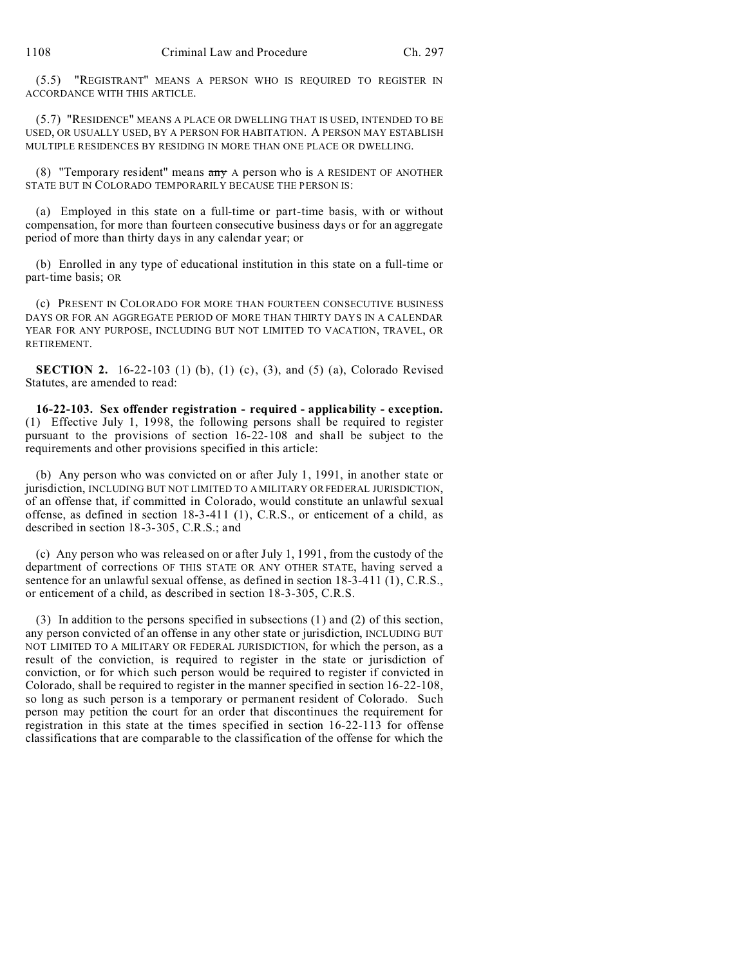(5.5) "REGISTRANT" MEANS A PERSON WHO IS REQUIRED TO REGISTER IN ACCORDANCE WITH THIS ARTICLE.

(5.7) "RESIDENCE" MEANS A PLACE OR DWELLING THAT IS USED, INTENDED TO BE USED, OR USUALLY USED, BY A PERSON FOR HABITATION. A PERSON MAY ESTABLISH MULTIPLE RESIDENCES BY RESIDING IN MORE THAN ONE PLACE OR DWELLING.

(8) "Temporary resident" means any A person who is A RESIDENT OF ANOTHER STATE BUT IN COLORADO TEMPORARILY BECAUSE THE PERSON IS:

(a) Employed in this state on a full-time or part-time basis, with or without compensation, for more than fourteen consecutive business days or for an aggregate period of more than thirty days in any calendar year; or

(b) Enrolled in any type of educational institution in this state on a full-time or part-time basis; OR

(c) PRESENT IN COLORADO FOR MORE THAN FOURTEEN CONSECUTIVE BUSINESS DAYS OR FOR AN AGGREGATE PERIOD OF MORE THAN THIRTY DAYS IN A CALENDAR YEAR FOR ANY PURPOSE, INCLUDING BUT NOT LIMITED TO VACATION, TRAVEL, OR RETIREMENT.

**SECTION 2.** 16-22-103 (1) (b), (1) (c), (3), and (5) (a), Colorado Revised Statutes, are amended to read:

**16-22-103. Sex offender registration - required - applicability - exception.** (1) Effective July 1, 1998, the following persons shall be required to register pursuant to the provisions of section 16-22-108 and shall be subject to the requirements and other provisions specified in this article:

(b) Any person who was convicted on or after July 1, 1991, in another state or jurisdiction, INCLUDING BUT NOT LIMITED TO A MILITARY OR FEDERAL JURISDICTION, of an offense that, if committed in Colorado, would constitute an unlawful sexual offense, as defined in section 18-3-411 (1), C.R.S., or enticement of a child, as described in section 18-3-305, C.R.S.; and

(c) Any person who was released on or after July 1, 1991, from the custody of the department of corrections OF THIS STATE OR ANY OTHER STATE, having served a sentence for an unlawful sexual offense, as defined in section 18-3-411 (1), C.R.S., or enticement of a child, as described in section 18-3-305, C.R.S.

(3) In addition to the persons specified in subsections (1) and (2) of this section, any person convicted of an offense in any other state or jurisdiction, INCLUDING BUT NOT LIMITED TO A MILITARY OR FEDERAL JURISDICTION, for which the person, as a result of the conviction, is required to register in the state or jurisdiction of conviction, or for which such person would be required to register if convicted in Colorado, shall be required to register in the manner specified in section 16-22-108, so long as such person is a temporary or permanent resident of Colorado. Such person may petition the court for an order that discontinues the requirement for registration in this state at the times specified in section 16-22-113 for offense classifications that are comparable to the classification of the offense for which the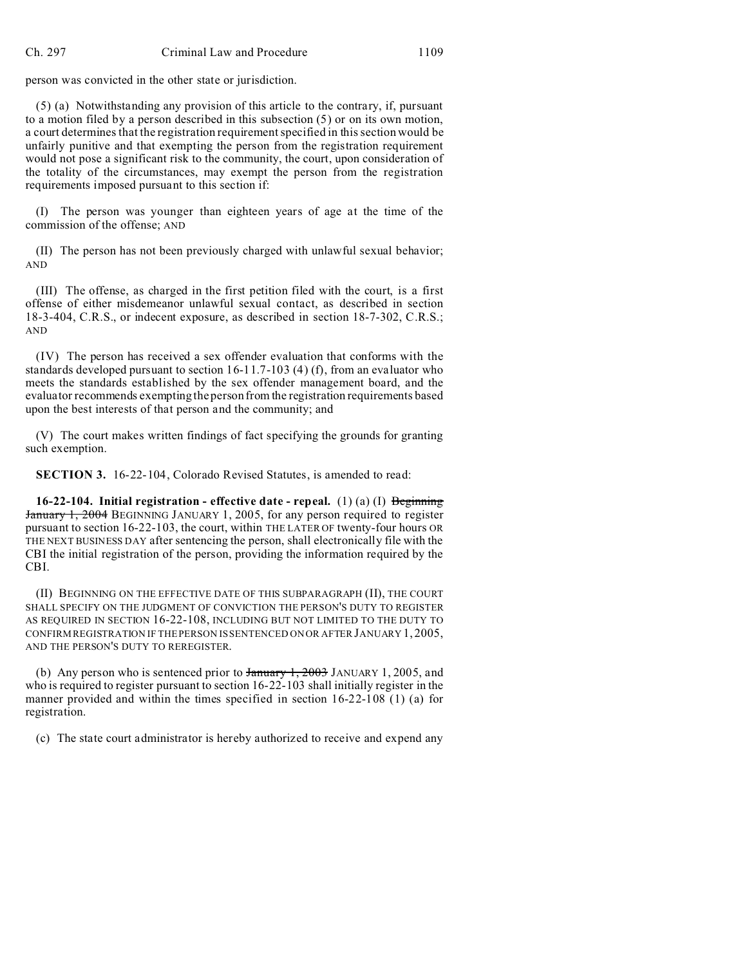person was convicted in the other state or jurisdiction.

(5) (a) Notwithstanding any provision of this article to the contrary, if, pursuant to a motion filed by a person described in this subsection (5) or on its own motion, a court determines that the registration requirement specified in this section would be unfairly punitive and that exempting the person from the registration requirement would not pose a significant risk to the community, the court, upon consideration of the totality of the circumstances, may exempt the person from the registration requirements imposed pursuant to this section if:

(I) The person was younger than eighteen years of age at the time of the commission of the offense; AND

(II) The person has not been previously charged with unlawful sexual behavior; AND

(III) The offense, as charged in the first petition filed with the court, is a first offense of either misdemeanor unlawful sexual contact, as described in section 18-3-404, C.R.S., or indecent exposure, as described in section 18-7-302, C.R.S.; AND

(IV) The person has received a sex offender evaluation that conforms with the standards developed pursuant to section 16-11.7-103 (4) (f), from an evaluator who meets the standards established by the sex offender management board, and the evaluator recommends exempting the person from the registration requirements based upon the best interests of that person and the community; and

(V) The court makes written findings of fact specifying the grounds for granting such exemption.

**SECTION 3.** 16-22-104, Colorado Revised Statutes, is amended to read:

**16-22-104. Initial registration - effective date - repeal.** (1) (a) (I) Beginning January 1, 2004 BEGINNING JANUARY 1, 2005, for any person required to register pursuant to section 16-22-103, the court, within THE LATER OF twenty-four hours OR THE NEXT BUSINESS DAY after sentencing the person, shall electronically file with the CBI the initial registration of the person, providing the information required by the CBI.

(II) BEGINNING ON THE EFFECTIVE DATE OF THIS SUBPARAGRAPH (II), THE COURT SHALL SPECIFY ON THE JUDGMENT OF CONVICTION THE PERSON'S DUTY TO REGISTER AS REQUIRED IN SECTION 16-22-108, INCLUDING BUT NOT LIMITED TO THE DUTY TO CONFIRM REGISTRATION IF THE PERSON IS SENTENCED ON OR AFTER JANUARY 1, 2005, AND THE PERSON'S DUTY TO REREGISTER.

(b) Any person who is sentenced prior to  $\frac{1}{2003}$  JANUARY 1, 2005, and who is required to register pursuant to section 16-22-103 shall initially register in the manner provided and within the times specified in section 16-22-108 (1) (a) for registration.

(c) The state court administrator is hereby authorized to receive and expend any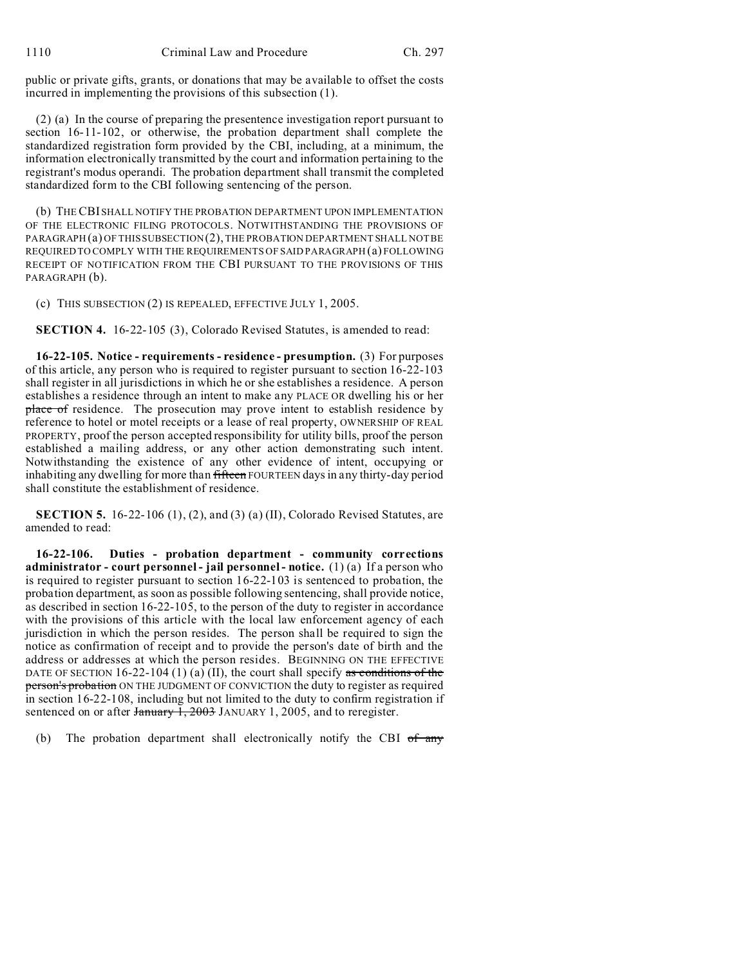1110 Criminal Law and Procedure Ch. 297

public or private gifts, grants, or donations that may be available to offset the costs incurred in implementing the provisions of this subsection (1).

(2) (a) In the course of preparing the presentence investigation report pursuant to section 16-11-102, or otherwise, the probation department shall complete the standardized registration form provided by the CBI, including, at a minimum, the information electronically transmitted by the court and information pertaining to the registrant's modus operandi. The probation department shall transmit the completed standardized form to the CBI following sentencing of the person.

(b) THE CBI SHALL NOTIFY THE PROBATION DEPARTMENT UPON IMPLEMENTATION OF THE ELECTRONIC FILING PROTOCOLS. NOTWITHSTANDING THE PROVISIONS OF PARAGRAPH (a) OF THIS SUBSECTION (2), THE PROBATION DEPARTMENT SHALL NOT BE REQUIRED TO COMPLY WITH THE REQUIREMENTS OF SAID PARAGRAPH (a) FOLLOWING RECEIPT OF NOTIFICATION FROM THE CBI PURSUANT TO THE PROVISIONS OF THIS PARAGRAPH (b).

(c) THIS SUBSECTION (2) IS REPEALED, EFFECTIVE JULY 1, 2005.

**SECTION 4.** 16-22-105 (3), Colorado Revised Statutes, is amended to read:

**16-22-105. Notice - requirements - residence - presumption.** (3) For purposes of this article, any person who is required to register pursuant to section 16-22-103 shall register in all jurisdictions in which he or she establishes a residence. A person establishes a residence through an intent to make any PLACE OR dwelling his or her place of residence. The prosecution may prove intent to establish residence by reference to hotel or motel receipts or a lease of real property, OWNERSHIP OF REAL PROPERTY, proof the person accepted responsibility for utility bills, proof the person established a mailing address, or any other action demonstrating such intent. Notwithstanding the existence of any other evidence of intent, occupying or inhabiting any dwelling for more than fifteen FOURTEEN days in any thirty-day period shall constitute the establishment of residence.

**SECTION 5.** 16-22-106 (1), (2), and (3) (a) (II), Colorado Revised Statutes, are amended to read:

**16-22-106. Duties - probation department - community corrections administrator - court personnel - jail personnel - notice.** (1) (a) If a person who is required to register pursuant to section 16-22-103 is sentenced to probation, the probation department, as soon as possible following sentencing, shall provide notice, as described in section 16-22-105, to the person of the duty to register in accordance with the provisions of this article with the local law enforcement agency of each jurisdiction in which the person resides. The person shall be required to sign the notice as confirmation of receipt and to provide the person's date of birth and the address or addresses at which the person resides. BEGINNING ON THE EFFECTIVE DATE OF SECTION 16-22-104 (1) (a) (II), the court shall specify as conditions of the person's probation ON THE JUDGMENT OF CONVICTION the duty to register as required in section 16-22-108, including but not limited to the duty to confirm registration if sentenced on or after January 1, 2003 JANUARY 1, 2005, and to reregister.

(b) The probation department shall electronically notify the CBI  $of$  any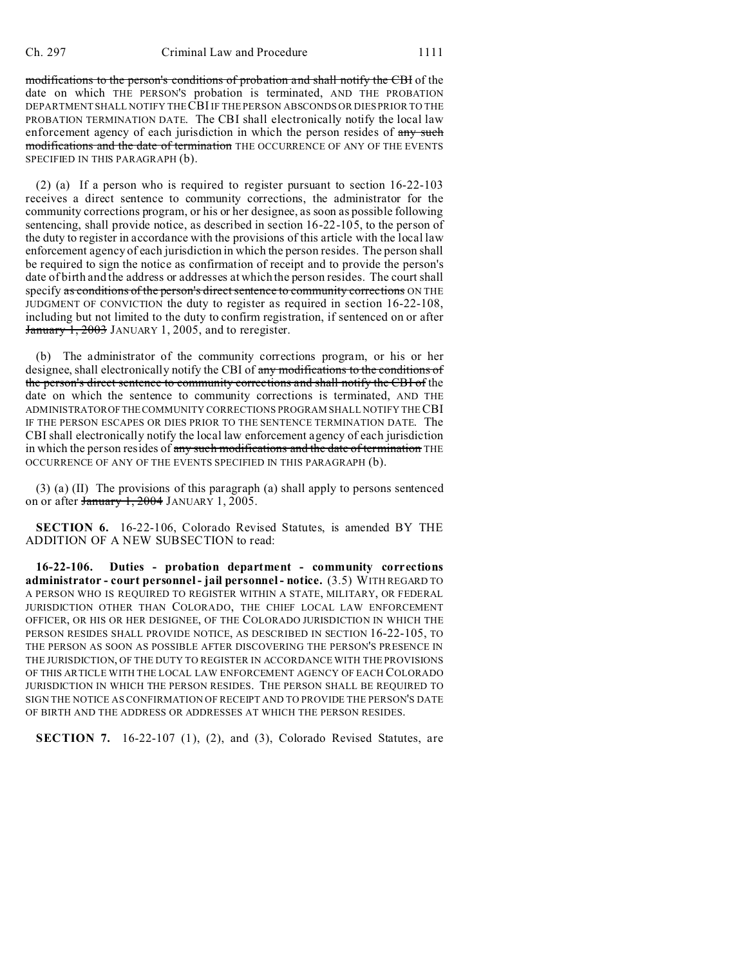modifications to the person's conditions of probation and shall notify the CBI of the date on which THE PERSON'S probation is terminated, AND THE PROBATION DEPARTMENT SHALL NOTIFY THE CBI IF THE PERSON ABSCONDS OR DIES PRIOR TO THE PROBATION TERMINATION DATE. The CBI shall electronically notify the local law enforcement agency of each jurisdiction in which the person resides of any such modifications and the date of termination THE OCCURRENCE OF ANY OF THE EVENTS SPECIFIED IN THIS PARAGRAPH (b).

(2) (a) If a person who is required to register pursuant to section 16-22-103 receives a direct sentence to community corrections, the administrator for the community corrections program, or his or her designee, as soon as possible following sentencing, shall provide notice, as described in section 16-22-105, to the person of the duty to register in accordance with the provisions of this article with the local law enforcement agency of each jurisdiction in which the person resides. The person shall be required to sign the notice as confirmation of receipt and to provide the person's date of birth and the address or addresses at which the person resides. The court shall specify as conditions of the person's direct sentence to community corrections ON THE JUDGMENT OF CONVICTION the duty to register as required in section 16-22-108, including but not limited to the duty to confirm registration, if sentenced on or after January 1, 2003 JANUARY 1, 2005, and to reregister.

(b) The administrator of the community corrections program, or his or her designee, shall electronically notify the CBI of any modifications to the conditions of the person's direct sentence to community corrections and shall notify the CBI of the date on which the sentence to community corrections is terminated, AND THE ADMINISTRATOROFTHECOMMUNITY CORRECTIONS PROGRAM SHALL NOTIFY THE CBI IF THE PERSON ESCAPES OR DIES PRIOR TO THE SENTENCE TERMINATION DATE. The CBI shall electronically notify the local law enforcement agency of each jurisdiction in which the person resides of any such modifications and the date of termination THE OCCURRENCE OF ANY OF THE EVENTS SPECIFIED IN THIS PARAGRAPH (b).

(3) (a) (II) The provisions of this paragraph (a) shall apply to persons sentenced on or after January 1, 2004 JANUARY 1, 2005.

**SECTION 6.** 16-22-106, Colorado Revised Statutes, is amended BY THE ADDITION OF A NEW SUBSECTION to read:

**16-22-106. Duties - probation department - community corrections administrator - court personnel - jail personnel - notice.** (3.5) WITH REGARD TO A PERSON WHO IS REQUIRED TO REGISTER WITHIN A STATE, MILITARY, OR FEDERAL JURISDICTION OTHER THAN COLORADO, THE CHIEF LOCAL LAW ENFORCEMENT OFFICER, OR HIS OR HER DESIGNEE, OF THE COLORADO JURISDICTION IN WHICH THE PERSON RESIDES SHALL PROVIDE NOTICE, AS DESCRIBED IN SECTION 16-22-105, TO THE PERSON AS SOON AS POSSIBLE AFTER DISCOVERING THE PERSON'S PRESENCE IN THE JURISDICTION, OF THE DUTY TO REGISTER IN ACCORDANCE WITH THE PROVISIONS OF THIS ARTICLE WITH THE LOCAL LAW ENFORCEMENT AGENCY OF EACH COLORADO JURISDICTION IN WHICH THE PERSON RESIDES. THE PERSON SHALL BE REQUIRED TO SIGN THE NOTICE AS CONFIRMATION OF RECEIPT AND TO PROVIDE THE PERSON'S DATE OF BIRTH AND THE ADDRESS OR ADDRESSES AT WHICH THE PERSON RESIDES.

**SECTION 7.** 16-22-107 (1), (2), and (3), Colorado Revised Statutes, are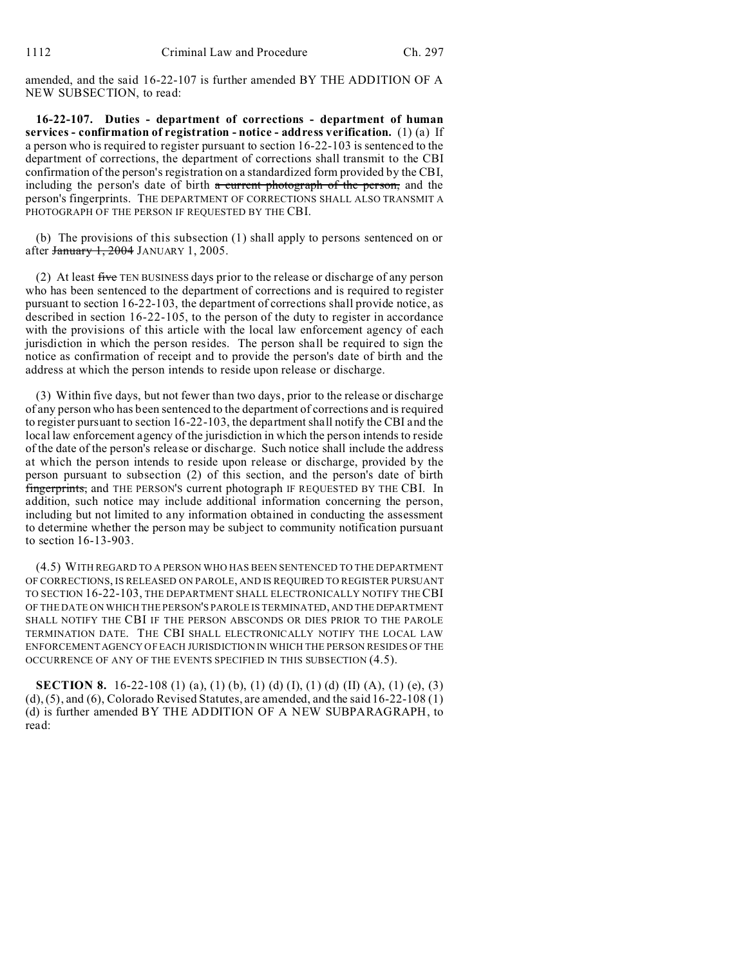amended, and the said 16-22-107 is further amended BY THE ADDITION OF A NEW SUBSECTION, to read:

**16-22-107. Duties - department of corrections - department of human services - confirmation of registration - notice - address verification.** (1) (a) If a person who is required to register pursuant to section 16-22-103 is sentenced to the department of corrections, the department of corrections shall transmit to the CBI confirmation of the person's registration on a standardized form provided by the CBI, including the person's date of birth  $\alpha$  current photograph of the person, and the person's fingerprints. THE DEPARTMENT OF CORRECTIONS SHALL ALSO TRANSMIT A PHOTOGRAPH OF THE PERSON IF REQUESTED BY THE CBI.

(b) The provisions of this subsection (1) shall apply to persons sentenced on or after January 1, 2004 JANUARY 1, 2005.

(2) At least five TEN BUSINESS days prior to the release or discharge of any person who has been sentenced to the department of corrections and is required to register pursuant to section 16-22-103, the department of corrections shall provide notice, as described in section 16-22-105, to the person of the duty to register in accordance with the provisions of this article with the local law enforcement agency of each jurisdiction in which the person resides. The person shall be required to sign the notice as confirmation of receipt and to provide the person's date of birth and the address at which the person intends to reside upon release or discharge.

(3) Within five days, but not fewer than two days, prior to the release or discharge of any person who has been sentenced to the department of corrections and is required to register pursuant to section 16-22-103, the department shall notify the CBI and the local law enforcement agency of the jurisdiction in which the person intends to reside of the date of the person's release or discharge. Such notice shall include the address at which the person intends to reside upon release or discharge, provided by the person pursuant to subsection (2) of this section, and the person's date of birth fingerprints, and THE PERSON'S current photograph IF REQUESTED BY THE CBI. In addition, such notice may include additional information concerning the person, including but not limited to any information obtained in conducting the assessment to determine whether the person may be subject to community notification pursuant to section 16-13-903.

(4.5) WITH REGARD TO A PERSON WHO HAS BEEN SENTENCED TO THE DEPARTMENT OF CORRECTIONS, IS RELEASED ON PAROLE, AND IS REQUIRED TO REGISTER PURSUANT TO SECTION 16-22-103, THE DEPARTMENT SHALL ELECTRONICALLY NOTIFY THE CBI OF THE DATE ON WHICH THE PERSON'S PAROLE IS TERMINATED, AND THE DEPARTMENT SHALL NOTIFY THE CBI IF THE PERSON ABSCONDS OR DIES PRIOR TO THE PAROLE TERMINATION DATE. THE CBI SHALL ELECTRONICALLY NOTIFY THE LOCAL LAW ENFORCEMENT AGENCY OF EACH JURISDICTION IN WHICH THE PERSON RESIDES OF THE OCCURRENCE OF ANY OF THE EVENTS SPECIFIED IN THIS SUBSECTION (4.5).

**SECTION 8.** 16-22-108 (1) (a), (1) (b), (1) (d) (I), (1) (d) (II) (A), (1) (e), (3)  $(d)$ ,  $(5)$ , and  $(6)$ , Colorado Revised Statutes, are amended, and the said  $16-22-108(1)$ (d) is further amended BY THE ADDITION OF A NEW SUBPARAGRAPH, to read: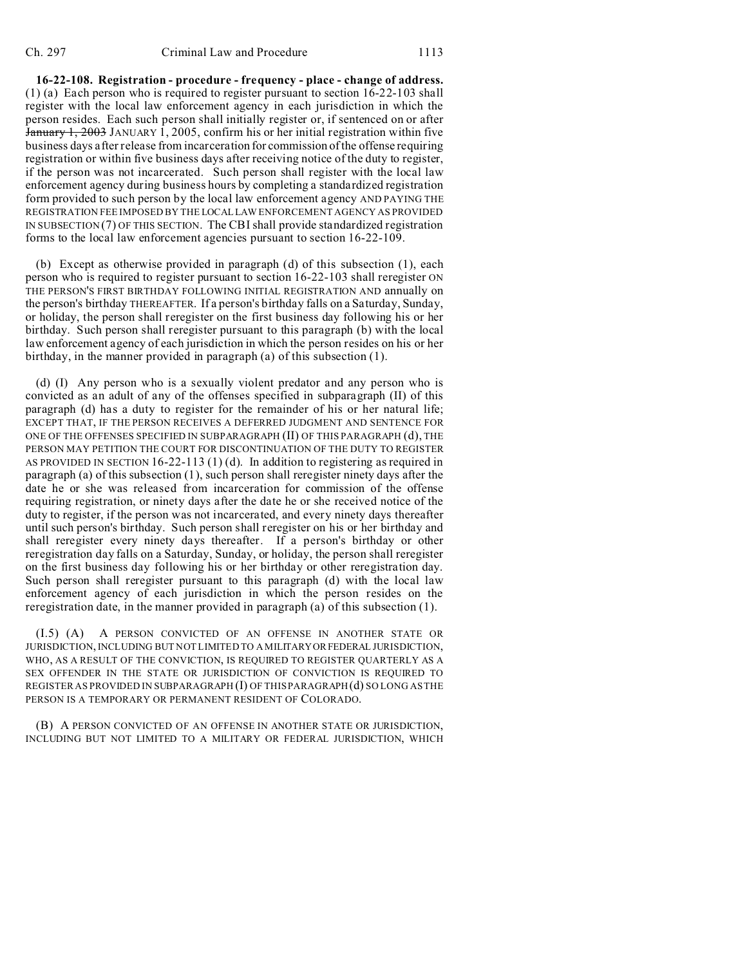**16-22-108. Registration - procedure - frequency - place - change of address.** (1) (a) Each person who is required to register pursuant to section 16-22-103 shall register with the local law enforcement agency in each jurisdiction in which the person resides. Each such person shall initially register or, if sentenced on or after January 1, 2003 JANUARY 1, 2005, confirm his or her initial registration within five business days after release from incarceration for commission of the offense requiring registration or within five business days after receiving notice of the duty to register, if the person was not incarcerated. Such person shall register with the local law enforcement agency during business hours by completing a standardized registration form provided to such person by the local law enforcement agency AND PAYING THE REGISTRATION FEE IMPOSED BY THE LOCALLAW ENFORCEMENT AGENCY AS PROVIDED IN SUBSECTION (7) OF THIS SECTION. The CBI shall provide standardized registration forms to the local law enforcement agencies pursuant to section 16-22-109.

(b) Except as otherwise provided in paragraph (d) of this subsection (1), each person who is required to register pursuant to section 16-22-103 shall reregister ON THE PERSON'S FIRST BIRTHDAY FOLLOWING INITIAL REGISTRATION AND annually on the person's birthday THEREAFTER. If a person's birthday falls on a Saturday, Sunday, or holiday, the person shall reregister on the first business day following his or her birthday. Such person shall reregister pursuant to this paragraph (b) with the local law enforcement agency of each jurisdiction in which the person resides on his or her birthday, in the manner provided in paragraph (a) of this subsection (1).

(d) (I) Any person who is a sexually violent predator and any person who is convicted as an adult of any of the offenses specified in subparagraph (II) of this paragraph (d) has a duty to register for the remainder of his or her natural life; EXCEPT THAT, IF THE PERSON RECEIVES A DEFERRED JUDGMENT AND SENTENCE FOR ONE OF THE OFFENSES SPECIFIED IN SUBPARAGRAPH (II) OF THIS PARAGRAPH (d), THE PERSON MAY PETITION THE COURT FOR DISCONTINUATION OF THE DUTY TO REGISTER AS PROVIDED IN SECTION 16-22-113 (1) (d). In addition to registering as required in paragraph (a) of this subsection (1), such person shall reregister ninety days after the date he or she was released from incarceration for commission of the offense requiring registration, or ninety days after the date he or she received notice of the duty to register, if the person was not incarcerated, and every ninety days thereafter until such person's birthday. Such person shall reregister on his or her birthday and shall reregister every ninety days thereafter. If a person's birthday or other reregistration day falls on a Saturday, Sunday, or holiday, the person shall reregister on the first business day following his or her birthday or other reregistration day. Such person shall reregister pursuant to this paragraph (d) with the local law enforcement agency of each jurisdiction in which the person resides on the reregistration date, in the manner provided in paragraph (a) of this subsection (1).

(I.5) (A) A PERSON CONVICTED OF AN OFFENSE IN ANOTHER STATE OR JURISDICTION, INCLUDING BUT NOT LIMITED TO A MILITARYORFEDERAL JURISDICTION, WHO, AS A RESULT OF THE CONVICTION, IS REQUIRED TO REGISTER QUARTERLY AS A SEX OFFENDER IN THE STATE OR JURISDICTION OF CONVICTION IS REQUIRED TO REGISTER AS PROVIDED IN SUBPARAGRAPH (I) OF THIS PARAGRAPH(d) SO LONG AS THE PERSON IS A TEMPORARY OR PERMANENT RESIDENT OF COLORADO.

(B) A PERSON CONVICTED OF AN OFFENSE IN ANOTHER STATE OR JURISDICTION, INCLUDING BUT NOT LIMITED TO A MILITARY OR FEDERAL JURISDICTION, WHICH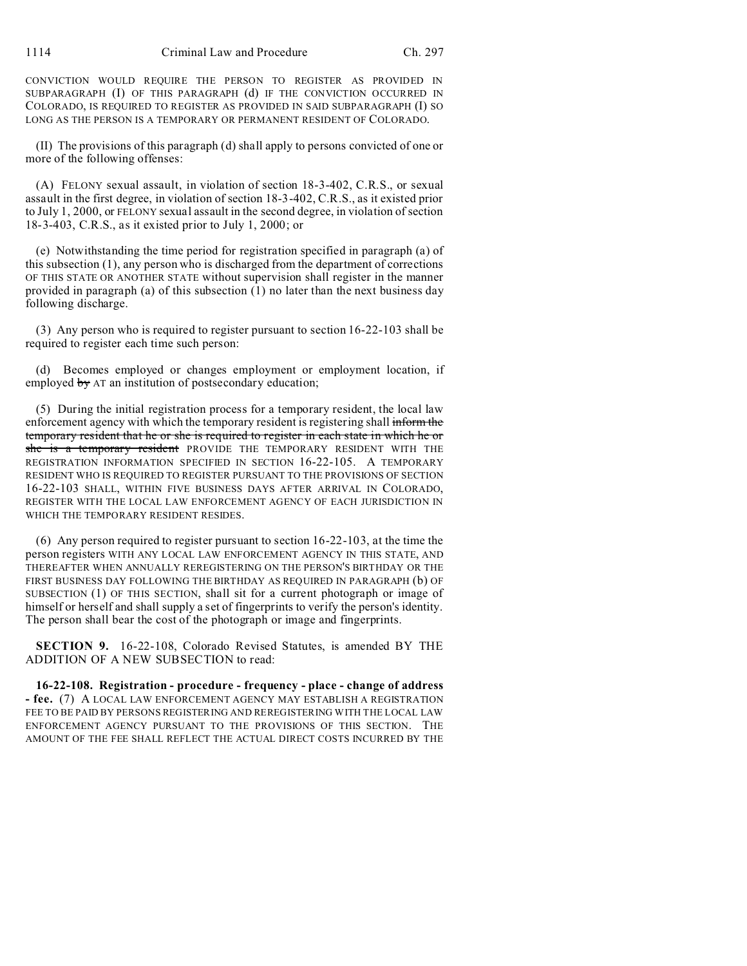1114 Criminal Law and Procedure Ch. 297

CONVICTION WOULD REQUIRE THE PERSON TO REGISTER AS PROVIDED IN SUBPARAGRAPH (I) OF THIS PARAGRAPH (d) IF THE CONVICTION OCCURRED IN COLORADO, IS REQUIRED TO REGISTER AS PROVIDED IN SAID SUBPARAGRAPH (I) SO LONG AS THE PERSON IS A TEMPORARY OR PERMANENT RESIDENT OF COLORADO.

(II) The provisions of this paragraph (d) shall apply to persons convicted of one or more of the following offenses:

(A) FELONY sexual assault, in violation of section 18-3-402, C.R.S., or sexual assault in the first degree, in violation of section 18-3-402, C.R.S., as it existed prior to July 1, 2000, or FELONY sexual assault in the second degree, in violation of section 18-3-403, C.R.S., as it existed prior to July 1, 2000; or

(e) Notwithstanding the time period for registration specified in paragraph (a) of this subsection (1), any person who is discharged from the department of corrections OF THIS STATE OR ANOTHER STATE without supervision shall register in the manner provided in paragraph (a) of this subsection (1) no later than the next business day following discharge.

(3) Any person who is required to register pursuant to section 16-22-103 shall be required to register each time such person:

Becomes employed or changes employment or employment location, if employed by AT an institution of postsecondary education;

(5) During the initial registration process for a temporary resident, the local law enforcement agency with which the temporary resident is registering shall inform the temporary resident that he or she is required to register in each state in which he or she is a temporary resident PROVIDE THE TEMPORARY RESIDENT WITH THE REGISTRATION INFORMATION SPECIFIED IN SECTION 16-22-105. A TEMPORARY RESIDENT WHO IS REQUIRED TO REGISTER PURSUANT TO THE PROVISIONS OF SECTION 16-22-103 SHALL, WITHIN FIVE BUSINESS DAYS AFTER ARRIVAL IN COLORADO, REGISTER WITH THE LOCAL LAW ENFORCEMENT AGENCY OF EACH JURISDICTION IN WHICH THE TEMPORARY RESIDENT RESIDES.

(6) Any person required to register pursuant to section 16-22-103, at the time the person registers WITH ANY LOCAL LAW ENFORCEMENT AGENCY IN THIS STATE, AND THEREAFTER WHEN ANNUALLY REREGISTERING ON THE PERSON'S BIRTHDAY OR THE FIRST BUSINESS DAY FOLLOWING THE BIRTHDAY AS REQUIRED IN PARAGRAPH (b) OF SUBSECTION (1) OF THIS SECTION, shall sit for a current photograph or image of himself or herself and shall supply a set of fingerprints to verify the person's identity. The person shall bear the cost of the photograph or image and fingerprints.

**SECTION 9.** 16-22-108, Colorado Revised Statutes, is amended BY THE ADDITION OF A NEW SUBSECTION to read:

**16-22-108. Registration - procedure - frequency - place - change of address - fee.** (7) A LOCAL LAW ENFORCEMENT AGENCY MAY ESTABLISH A REGISTRATION FEE TO BE PAID BY PERSONS REGISTERING AND REREGISTERING WITH THE LOCAL LAW ENFORCEMENT AGENCY PURSUANT TO THE PROVISIONS OF THIS SECTION. THE AMOUNT OF THE FEE SHALL REFLECT THE ACTUAL DIRECT COSTS INCURRED BY THE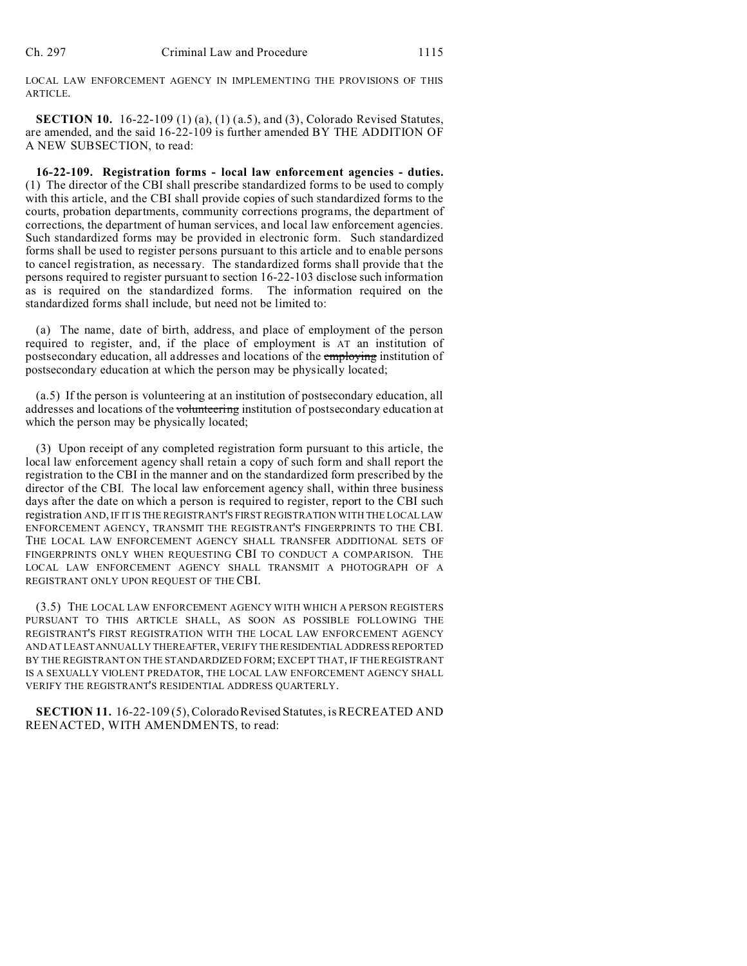LOCAL LAW ENFORCEMENT AGENCY IN IMPLEMENTING THE PROVISIONS OF THIS ARTICLE.

**SECTION 10.** 16-22-109 (1) (a), (1) (a.5), and (3), Colorado Revised Statutes, are amended, and the said 16-22-109 is further amended BY THE ADDITION OF A NEW SUBSECTION, to read:

**16-22-109. Registration forms - local law enforcement agencies - duties.** (1) The director of the CBI shall prescribe standardized forms to be used to comply with this article, and the CBI shall provide copies of such standardized forms to the courts, probation departments, community corrections programs, the department of corrections, the department of human services, and local law enforcement agencies. Such standardized forms may be provided in electronic form. Such standardized forms shall be used to register persons pursuant to this article and to enable persons to cancel registration, as necessary. The standardized forms shall provide that the persons required to register pursuant to section 16-22-103 disclose such information as is required on the standardized forms. The information required on the standardized forms shall include, but need not be limited to:

(a) The name, date of birth, address, and place of employment of the person required to register, and, if the place of employment is AT an institution of postsecondary education, all addresses and locations of the *employing* institution of postsecondary education at which the person may be physically located;

(a.5) If the person is volunteering at an institution of postsecondary education, all addresses and locations of the volunteering institution of postsecondary education at which the person may be physically located;

(3) Upon receipt of any completed registration form pursuant to this article, the local law enforcement agency shall retain a copy of such form and shall report the registration to the CBI in the manner and on the standardized form prescribed by the director of the CBI. The local law enforcement agency shall, within three business days after the date on which a person is required to register, report to the CBI such registration AND, IF IT IS THE REGISTRANT'S FIRST REGISTRATION WITH THE LOCALLAW ENFORCEMENT AGENCY, TRANSMIT THE REGISTRANT'S FINGERPRINTS TO THE CBI. THE LOCAL LAW ENFORCEMENT AGENCY SHALL TRANSFER ADDITIONAL SETS OF FINGERPRINTS ONLY WHEN REQUESTING CBI TO CONDUCT A COMPARISON. THE LOCAL LAW ENFORCEMENT AGENCY SHALL TRANSMIT A PHOTOGRAPH OF A REGISTRANT ONLY UPON REQUEST OF THE CBI.

(3.5) THE LOCAL LAW ENFORCEMENT AGENCY WITH WHICH A PERSON REGISTERS PURSUANT TO THIS ARTICLE SHALL, AS SOON AS POSSIBLE FOLLOWING THE REGISTRANT'S FIRST REGISTRATION WITH THE LOCAL LAW ENFORCEMENT AGENCY AND AT LEAST ANNUALLY THEREAFTER, VERIFY THE RESIDENTIAL ADDRESS REPORTED BY THE REGISTRANT ON THE STANDARDIZED FORM; EXCEPT THAT, IF THE REGISTRANT IS A SEXUALLY VIOLENT PREDATOR, THE LOCAL LAW ENFORCEMENT AGENCY SHALL VERIFY THE REGISTRANT'S RESIDENTIAL ADDRESS QUARTERLY.

**SECTION 11.** 16-22-109 (5), Colorado Revised Statutes, is RECREATED AND REENACTED, WITH AMENDMENTS, to read: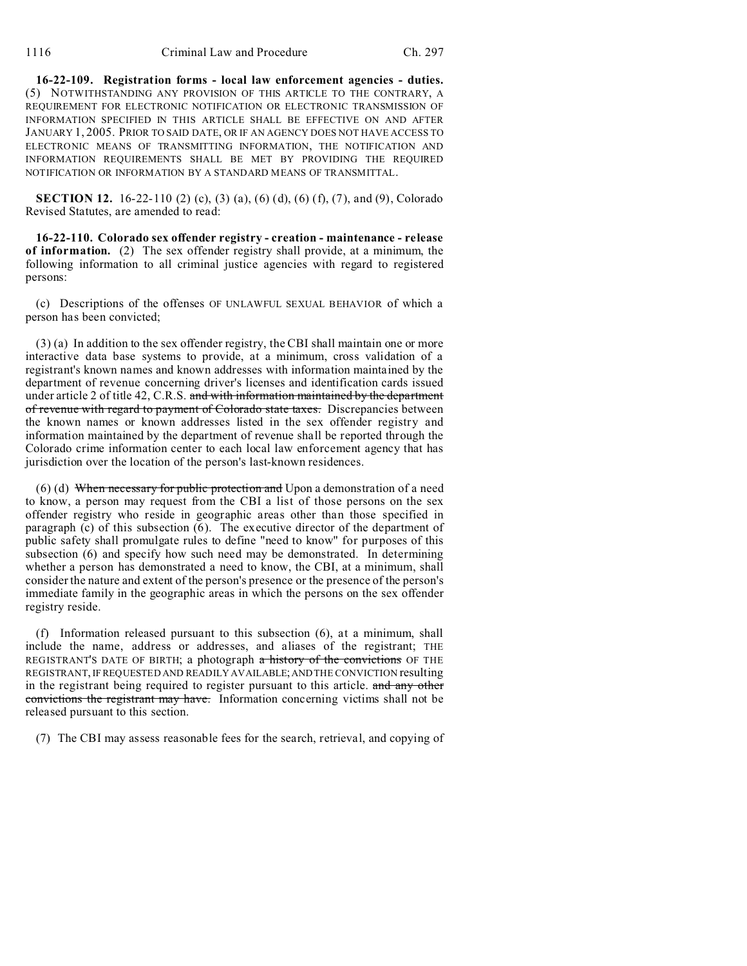**16-22-109. Registration forms - local law enforcement agencies - duties.** (5) NOTWITHSTANDING ANY PROVISION OF THIS ARTICLE TO THE CONTRARY, A REQUIREMENT FOR ELECTRONIC NOTIFICATION OR ELECTRONIC TRANSMISSION OF INFORMATION SPECIFIED IN THIS ARTICLE SHALL BE EFFECTIVE ON AND AFTER JANUARY 1, 2005. PRIOR TO SAID DATE, OR IF AN AGENCY DOES NOT HAVE ACCESS TO ELECTRONIC MEANS OF TRANSMITTING INFORMATION, THE NOTIFICATION AND INFORMATION REQUIREMENTS SHALL BE MET BY PROVIDING THE REQUIRED NOTIFICATION OR INFORMATION BY A STANDARD MEANS OF TRANSMITTAL.

**SECTION 12.** 16-22-110 (2) (c), (3) (a), (6) (d), (6) (f), (7), and (9), Colorado Revised Statutes, are amended to read:

**16-22-110. Colorado sex offender registry - creation - maintenance - release of information.** (2) The sex offender registry shall provide, at a minimum, the following information to all criminal justice agencies with regard to registered persons:

(c) Descriptions of the offenses OF UNLAWFUL SEXUAL BEHAVIOR of which a person has been convicted;

(3) (a) In addition to the sex offender registry, the CBI shall maintain one or more interactive data base systems to provide, at a minimum, cross validation of a registrant's known names and known addresses with information maintained by the department of revenue concerning driver's licenses and identification cards issued under article 2 of title 42, C.R.S. and with information maintained by the department of revenue with regard to payment of Colorado state taxes. Discrepancies between the known names or known addresses listed in the sex offender registry and information maintained by the department of revenue shall be reported through the Colorado crime information center to each local law enforcement agency that has jurisdiction over the location of the person's last-known residences.

(6) (d) When necessary for public protection and Upon a demonstration of a need to know, a person may request from the CBI a list of those persons on the sex offender registry who reside in geographic areas other than those specified in paragraph (c) of this subsection (6). The executive director of the department of public safety shall promulgate rules to define "need to know" for purposes of this subsection (6) and specify how such need may be demonstrated. In determining whether a person has demonstrated a need to know, the CBI, at a minimum, shall consider the nature and extent of the person's presence or the presence of the person's immediate family in the geographic areas in which the persons on the sex offender registry reside.

(f) Information released pursuant to this subsection (6), at a minimum, shall include the name, address or addresses, and aliases of the registrant; THE REGISTRANT'S DATE OF BIRTH; a photograph a history of the convictions OF THE REGISTRANT, IF REQUESTED AND READILY AVAILABLE;AND THE CONVICTION resulting in the registrant being required to register pursuant to this article. and any other convictions the registrant may have. Information concerning victims shall not be released pursuant to this section.

(7) The CBI may assess reasonable fees for the search, retrieval, and copying of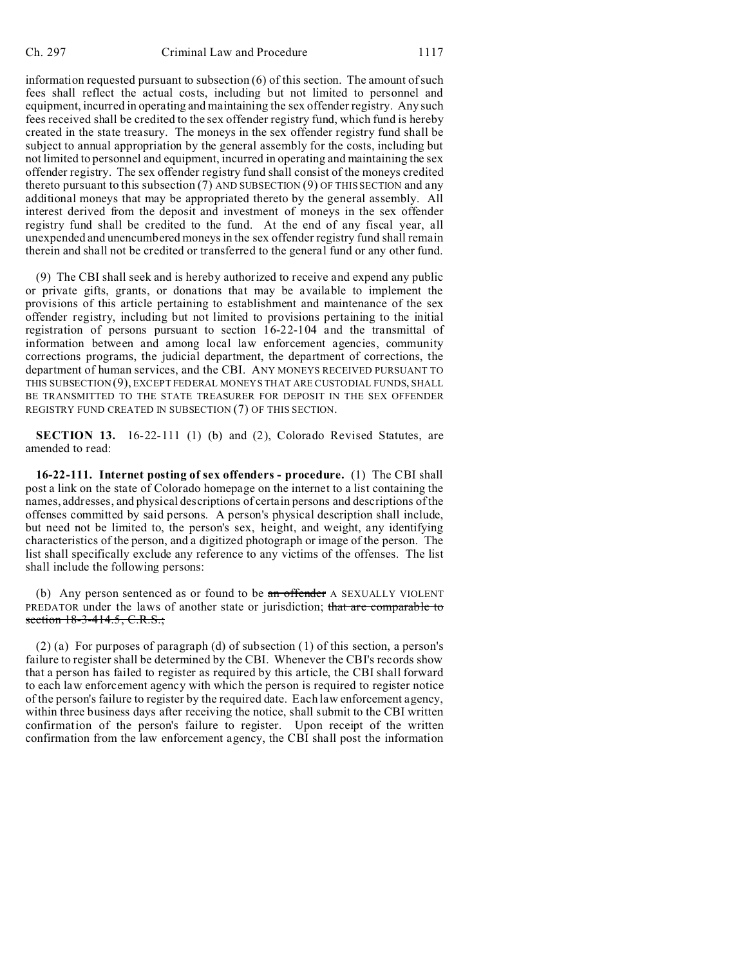information requested pursuant to subsection (6) of this section. The amount of such fees shall reflect the actual costs, including but not limited to personnel and equipment, incurred in operating and maintaining the sex offender registry. Any such fees received shall be credited to the sex offender registry fund, which fund is hereby created in the state treasury. The moneys in the sex offender registry fund shall be subject to annual appropriation by the general assembly for the costs, including but not limited to personnel and equipment, incurred in operating and maintaining the sex offender registry. The sex offender registry fund shall consist of the moneys credited thereto pursuant to this subsection  $(7)$  AND SUBSECTION  $(9)$  OF THIS SECTION and any additional moneys that may be appropriated thereto by the general assembly. All interest derived from the deposit and investment of moneys in the sex offender registry fund shall be credited to the fund. At the end of any fiscal year, all unexpended and unencumbered moneys in the sex offender registry fund shall remain therein and shall not be credited or transferred to the general fund or any other fund.

(9) The CBI shall seek and is hereby authorized to receive and expend any public or private gifts, grants, or donations that may be available to implement the provisions of this article pertaining to establishment and maintenance of the sex offender registry, including but not limited to provisions pertaining to the initial registration of persons pursuant to section 16-22-104 and the transmittal of information between and among local law enforcement agencies, community corrections programs, the judicial department, the department of corrections, the department of human services, and the CBI. ANY MONEYS RECEIVED PURSUANT TO THIS SUBSECTION (9), EXCEPT FEDERAL MONEYS THAT ARE CUSTODIAL FUNDS, SHALL BE TRANSMITTED TO THE STATE TREASURER FOR DEPOSIT IN THE SEX OFFENDER REGISTRY FUND CREATED IN SUBSECTION (7) OF THIS SECTION.

**SECTION 13.** 16-22-111 (1) (b) and (2), Colorado Revised Statutes, are amended to read:

**16-22-111. Internet posting of sex offenders - procedure.** (1) The CBI shall post a link on the state of Colorado homepage on the internet to a list containing the names, addresses, and physical descriptions of certain persons and descriptions of the offenses committed by said persons. A person's physical description shall include, but need not be limited to, the person's sex, height, and weight, any identifying characteristics of the person, and a digitized photograph or image of the person. The list shall specifically exclude any reference to any victims of the offenses. The list shall include the following persons:

(b) Any person sentenced as or found to be an offender A SEXUALLY VIOLENT PREDATOR under the laws of another state or jurisdiction; that are comparable to section 18-3-414.5, C.R.S.;

(2) (a) For purposes of paragraph (d) of subsection (1) of this section, a person's failure to register shall be determined by the CBI. Whenever the CBI's records show that a person has failed to register as required by this article, the CBI shall forward to each law enforcement agency with which the person is required to register notice of the person's failure to register by the required date. Each law enforcement agency, within three business days after receiving the notice, shall submit to the CBI written confirmation of the person's failure to register. Upon receipt of the written confirmation from the law enforcement agency, the CBI shall post the information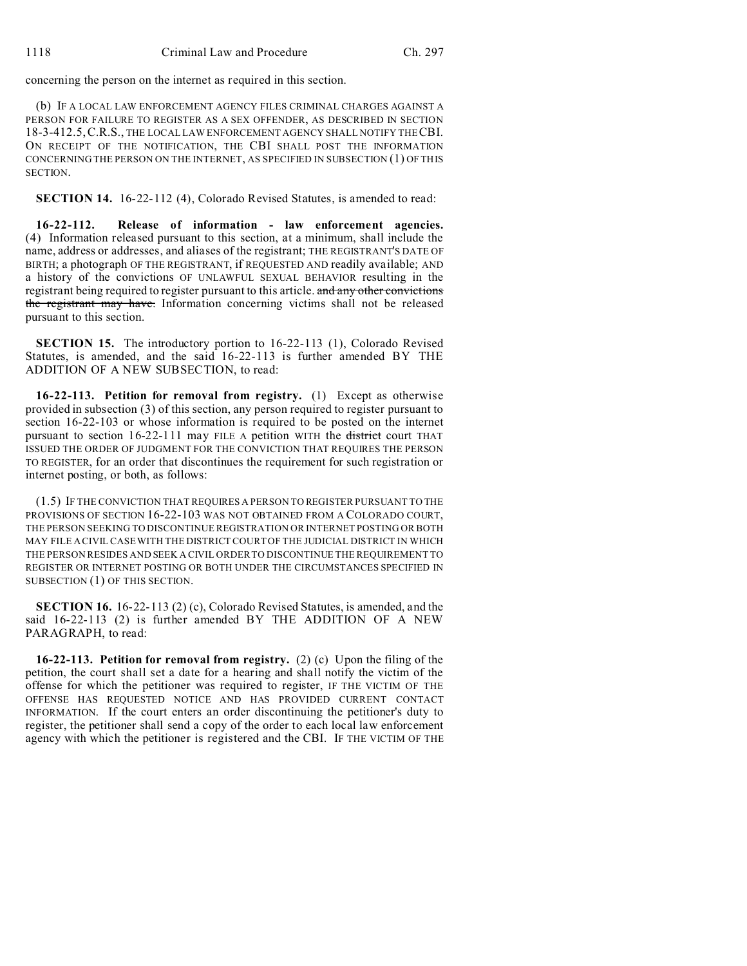concerning the person on the internet as required in this section.

(b) IF A LOCAL LAW ENFORCEMENT AGENCY FILES CRIMINAL CHARGES AGAINST A PERSON FOR FAILURE TO REGISTER AS A SEX OFFENDER, AS DESCRIBED IN SECTION 18-3-412.5,C.R.S., THE LOCAL LAW ENFORCEMENT AGENCY SHALL NOTIFY THE CBI. ON RECEIPT OF THE NOTIFICATION, THE CBI SHALL POST THE INFORMATION CONCERNING THE PERSON ON THE INTERNET, AS SPECIFIED IN SUBSECTION (1) OF THIS **SECTION** 

**SECTION 14.** 16-22-112 (4), Colorado Revised Statutes, is amended to read:

**16-22-112. Release of information - law enforcement agencies.** (4) Information released pursuant to this section, at a minimum, shall include the name, address or addresses, and aliases of the registrant; THE REGISTRANT'S DATE OF BIRTH; a photograph OF THE REGISTRANT, if REQUESTED AND readily available; AND a history of the convictions OF UNLAWFUL SEXUAL BEHAVIOR resulting in the registrant being required to register pursuant to this article. and any other convictions the registrant may have. Information concerning victims shall not be released pursuant to this section.

**SECTION 15.** The introductory portion to 16-22-113 (1), Colorado Revised Statutes, is amended, and the said 16-22-113 is further amended BY THE ADDITION OF A NEW SUBSECTION, to read:

**16-22-113. Petition for removal from registry.** (1) Except as otherwise provided in subsection (3) of this section, any person required to register pursuant to section 16-22-103 or whose information is required to be posted on the internet pursuant to section 16-22-111 may FILE A petition WITH the district court THAT ISSUED THE ORDER OF JUDGMENT FOR THE CONVICTION THAT REQUIRES THE PERSON TO REGISTER, for an order that discontinues the requirement for such registration or internet posting, or both, as follows:

(1.5) IF THE CONVICTION THAT REQUIRES A PERSON TO REGISTER PURSUANT TO THE PROVISIONS OF SECTION 16-22-103 WAS NOT OBTAINED FROM A COLORADO COURT, THE PERSON SEEKING TO DISCONTINUE REGISTRATION OR INTERNET POSTING OR BOTH MAY FILE A CIVIL CASE WITH THE DISTRICT COURT OF THE JUDICIAL DISTRICT IN WHICH THE PERSON RESIDES AND SEEK A CIVIL ORDER TO DISCONTINUE THE REQUIREMENT TO REGISTER OR INTERNET POSTING OR BOTH UNDER THE CIRCUMSTANCES SPECIFIED IN SUBSECTION (1) OF THIS SECTION.

**SECTION 16.** 16-22-113 (2) (c), Colorado Revised Statutes, is amended, and the said 16-22-113 (2) is further amended BY THE ADDITION OF A NEW PARAGRAPH, to read:

**16-22-113. Petition for removal from registry.** (2) (c) Upon the filing of the petition, the court shall set a date for a hearing and shall notify the victim of the offense for which the petitioner was required to register, IF THE VICTIM OF THE OFFENSE HAS REQUESTED NOTICE AND HAS PROVIDED CURRENT CONTACT INFORMATION. If the court enters an order discontinuing the petitioner's duty to register, the petitioner shall send a copy of the order to each local law enforcement agency with which the petitioner is registered and the CBI. IF THE VICTIM OF THE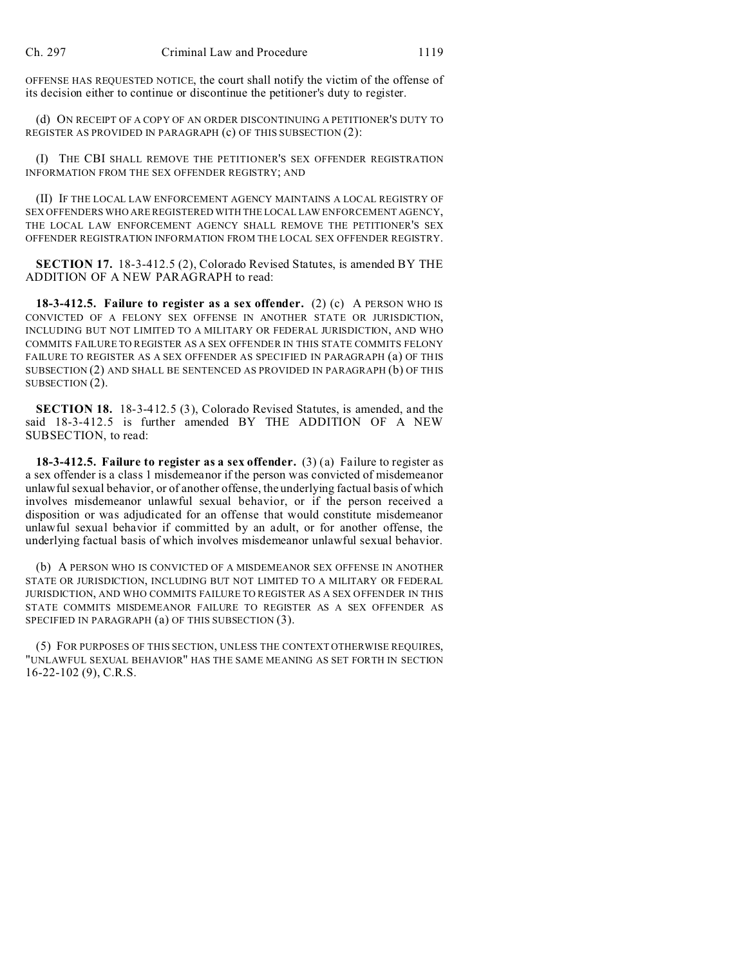OFFENSE HAS REQUESTED NOTICE, the court shall notify the victim of the offense of its decision either to continue or discontinue the petitioner's duty to register.

(d) ON RECEIPT OF A COPY OF AN ORDER DISCONTINUING A PETITIONER'S DUTY TO REGISTER AS PROVIDED IN PARAGRAPH (c) OF THIS SUBSECTION (2):

(I) THE CBI SHALL REMOVE THE PETITIONER'S SEX OFFENDER REGISTRATION INFORMATION FROM THE SEX OFFENDER REGISTRY; AND

(II) IF THE LOCAL LAW ENFORCEMENT AGENCY MAINTAINS A LOCAL REGISTRY OF SEX OFFENDERS WHO ARE REGISTERED WITH THE LOCAL LAW ENFORCEMENT AGENCY, THE LOCAL LAW ENFORCEMENT AGENCY SHALL REMOVE THE PETITIONER'S SEX OFFENDER REGISTRATION INFORMATION FROM THE LOCAL SEX OFFENDER REGISTRY.

**SECTION 17.** 18-3-412.5 (2), Colorado Revised Statutes, is amended BY THE ADDITION OF A NEW PARAGRAPH to read:

**18-3-412.5. Failure to register as a sex offender.** (2) (c) A PERSON WHO IS CONVICTED OF A FELONY SEX OFFENSE IN ANOTHER STATE OR JURISDICTION, INCLUDING BUT NOT LIMITED TO A MILITARY OR FEDERAL JURISDICTION, AND WHO COMMITS FAILURE TO REGISTER AS A SEX OFFENDER IN THIS STATE COMMITS FELONY FAILURE TO REGISTER AS A SEX OFFENDER AS SPECIFIED IN PARAGRAPH (a) OF THIS SUBSECTION (2) AND SHALL BE SENTENCED AS PROVIDED IN PARAGRAPH (b) OF THIS SUBSECTION (2).

**SECTION 18.** 18-3-412.5 (3), Colorado Revised Statutes, is amended, and the said 18-3-412.5 is further amended BY THE ADDITION OF A NEW SUBSECTION, to read:

**18-3-412.5. Failure to register as a sex offender.** (3) (a) Failure to register as a sex offender is a class 1 misdemeanor if the person was convicted of misdemeanor unlawful sexual behavior, or of another offense, the underlying factual basis of which involves misdemeanor unlawful sexual behavior, or if the person received a disposition or was adjudicated for an offense that would constitute misdemeanor unlawful sexual behavior if committed by an adult, or for another offense, the underlying factual basis of which involves misdemeanor unlawful sexual behavior.

(b) A PERSON WHO IS CONVICTED OF A MISDEMEANOR SEX OFFENSE IN ANOTHER STATE OR JURISDICTION, INCLUDING BUT NOT LIMITED TO A MILITARY OR FEDERAL JURISDICTION, AND WHO COMMITS FAILURE TO REGISTER AS A SEX OFFENDER IN THIS STATE COMMITS MISDEMEANOR FAILURE TO REGISTER AS A SEX OFFENDER AS SPECIFIED IN PARAGRAPH (a) OF THIS SUBSECTION (3).

(5) FOR PURPOSES OF THIS SECTION, UNLESS THE CONTEXT OTHERWISE REQUIRES, "UNLAWFUL SEXUAL BEHAVIOR" HAS THE SAME MEANING AS SET FORTH IN SECTION 16-22-102 (9), C.R.S.